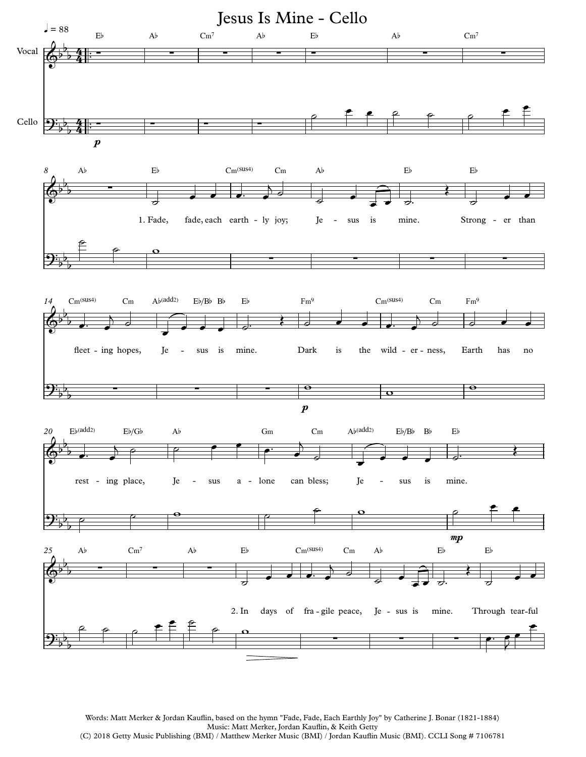

Words: Matt Merker & Jordan Kauflin, based on the hymn "Fade, Fade, Each Earthly Joy" by Catherine J. Bonar (1821-1884) Music: Matt Merker, Jordan Kauflin, & Keith Getty (C) 2018 Getty Music Publishing (BMI) / Matthew Merker Music (BMI) / Jordan Kauflin Music (BMI). CCLI Song # 7106781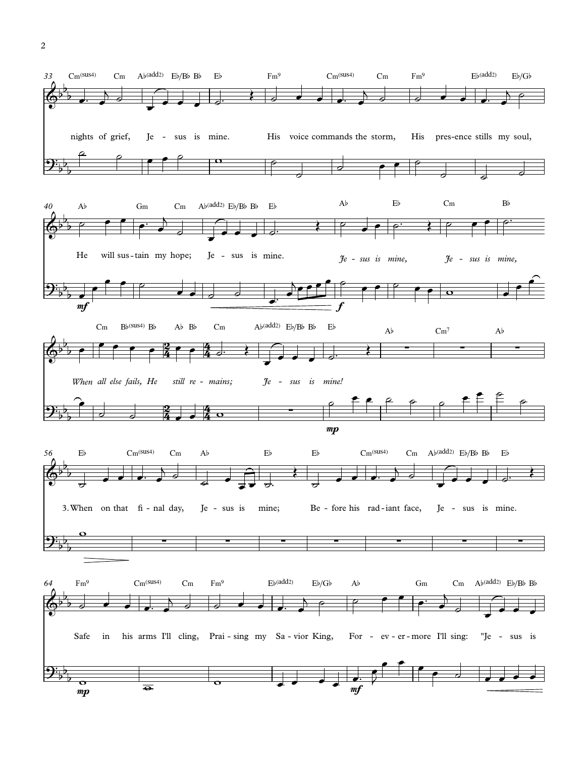